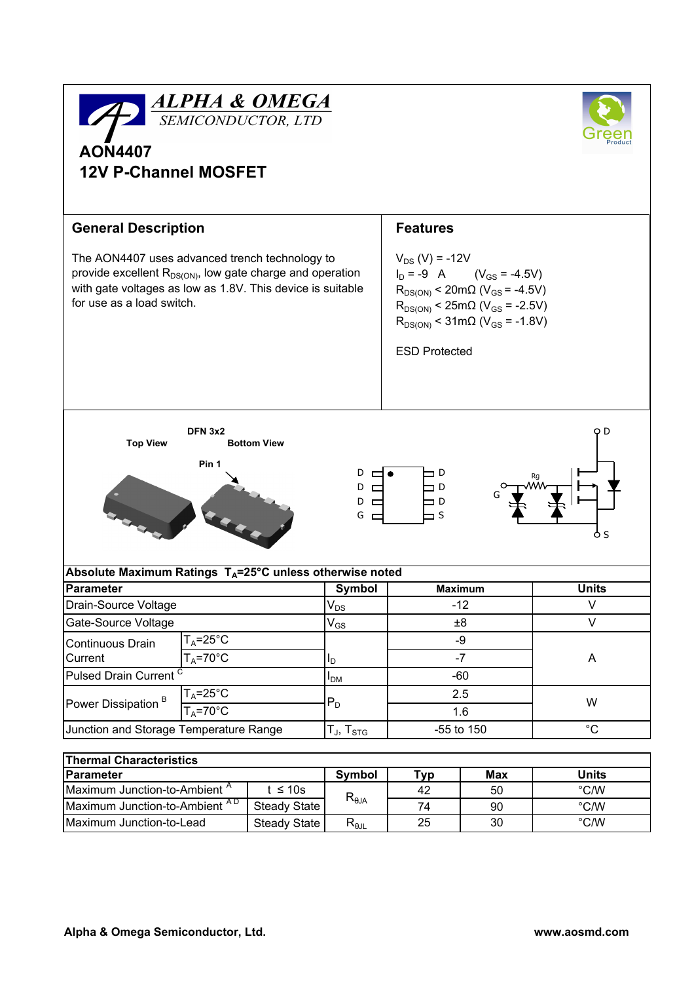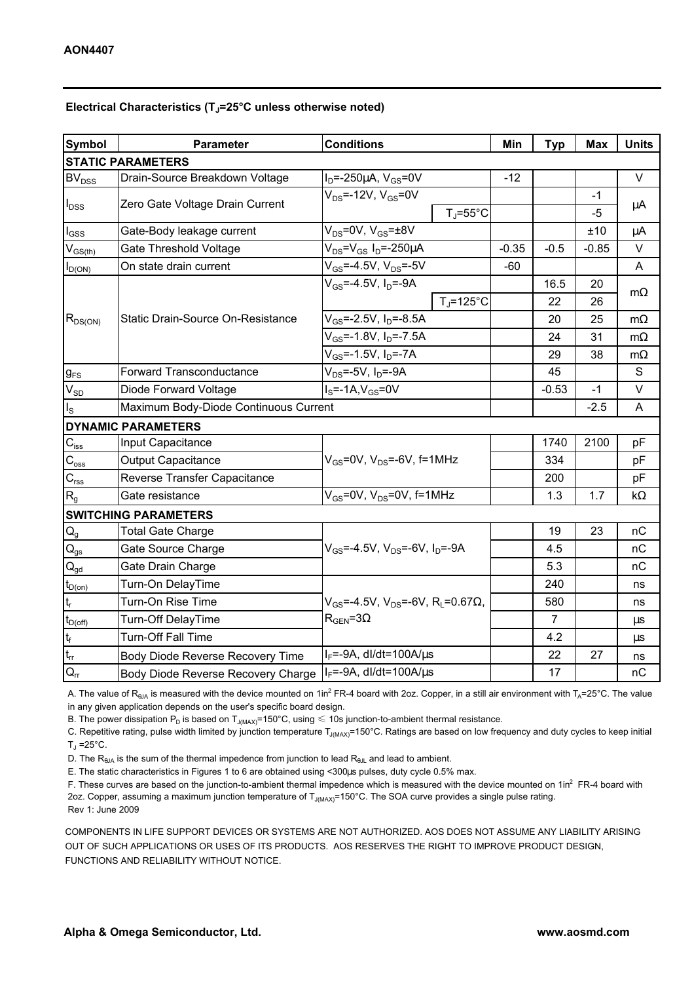## Electrical Characteristics ( $T_J$ =25°C unless otherwise noted)

| <b>Symbol</b>                           | <b>Parameter</b>                      | <b>Conditions</b>                                               | Min     | <b>Typ</b>     | Max     | <b>Units</b> |
|-----------------------------------------|---------------------------------------|-----------------------------------------------------------------|---------|----------------|---------|--------------|
| <b>STATIC PARAMETERS</b>                |                                       |                                                                 |         |                |         |              |
| $BV_{DSS}$                              | Drain-Source Breakdown Voltage        | $I_D = -250 \mu A$ , $V_{GS} = 0V$                              | $-12$   |                |         | $\vee$       |
| $I_{\text{DSS}}$                        | Zero Gate Voltage Drain Current       | $V_{DS} = -12V$ , $V_{GS} = 0V$                                 |         |                | $-1$    | μA           |
|                                         |                                       | $T_J = 55^{\circ}C$                                             |         |                | $-5$    |              |
| $I_{GSS}$                               | Gate-Body leakage current             | $V_{DS} = 0V$ , $V_{GS} = \pm 8V$                               |         |                | ±10     | $\mu$ A      |
| $\mathsf{V}_{\mathsf{GS}(\mathsf{th})}$ | Gate Threshold Voltage                | $V_{DS} = V_{GS} I_D = -250 \mu A$                              | $-0.35$ | $-0.5$         | $-0.85$ | $\vee$       |
| $I_{D(ON)}$                             | On state drain current                | $V_{GS} = -4.5V$ , $V_{DS} = -5V$                               | $-60$   |                |         | A            |
| $R_{DS(ON)}$                            | Static Drain-Source On-Resistance     | $V_{GS} = -4.5V, I_D = -9A$                                     |         | 16.5           | 20      | $m\Omega$    |
|                                         |                                       | $T_{\rm J}$ =125°C                                              |         | 22             | 26      |              |
|                                         |                                       | $V_{GS}$ =-2.5V, I <sub>D</sub> =-8.5A                          |         | 20             | 25      | $m\Omega$    |
|                                         |                                       | V <sub>GS</sub> =-1.8V, I <sub>D</sub> =-7.5A                   |         | 24             | 31      | $m\Omega$    |
|                                         |                                       | $\overline{V_{GS}}$ =-1.5V, I <sub>D</sub> =-7A                 |         | 29             | 38      | $m\Omega$    |
| $g_{FS}$                                | <b>Forward Transconductance</b>       | $V_{DS}$ =-5V, $I_D$ =-9A                                       |         | 45             |         | S            |
| $\mathsf{V}_{\mathsf{SD}}$              | Diode Forward Voltage                 | $IS=-1A,VGS=0V$                                                 |         | $-0.53$        | $-1$    | V            |
| $I_{\rm S}$                             | Maximum Body-Diode Continuous Current |                                                                 |         |                | $-2.5$  | A            |
| <b>DYNAMIC PARAMETERS</b>               |                                       |                                                                 |         |                |         |              |
| $C_{iss}$                               | Input Capacitance                     |                                                                 |         | 1740           | 2100    | pF           |
| $\mathsf{C}_{\textup{oss}}$             | <b>Output Capacitance</b>             | $V_{GS}$ =0V, $V_{DS}$ =-6V, f=1MHz                             |         | 334            |         | pF           |
| $\mathsf{C}_{\mathsf{rss}}$             | Reverse Transfer Capacitance          |                                                                 |         | 200            |         | pF           |
| R <sub>g</sub>                          | Gate resistance                       | $V_{GS}$ =0V, $V_{DS}$ =0V, f=1MHz                              |         | 1.3            | 1.7     | $k\Omega$    |
| <b>SWITCHING PARAMETERS</b>             |                                       |                                                                 |         |                |         |              |
| $Q_{q}$                                 | <b>Total Gate Charge</b>              |                                                                 |         | 19             | 23      | nC           |
| $\mathsf{Q}_{\mathsf{gs}}$              | Gate Source Charge                    | $V_{GS}$ =-4.5V, $V_{DS}$ =-6V, $I_D$ =-9A                      |         | 4.5            |         | nC           |
| $\mathsf{Q}_{\underline{\mathsf{gd}}}$  | Gate Drain Charge                     |                                                                 |         | 5.3            |         | nC           |
| $t_{D(0n)}$                             | Turn-On DelayTime                     |                                                                 |         | 240            |         | ns           |
| $\mathsf{t}_{\mathsf{r}}$               | Turn-On Rise Time                     | $V_{GS}$ =-4.5V, $V_{DS}$ =-6V, R <sub>L</sub> =0.67 $\Omega$ , |         | 580            |         | ns           |
| $t_{D(\text{off})}$                     | Turn-Off DelayTime                    | $R_{\text{GEN}} = 3\Omega$                                      |         | $\overline{7}$ |         | μs           |
| $\mathfrak{t}_{\mathsf{f}}$             | <b>Turn-Off Fall Time</b>             |                                                                 |         | 4.2            |         | $\mu s$      |
| $\mathfrak{t}_{\text{rr}}$              | Body Diode Reverse Recovery Time      | $I_F$ =-9A, dl/dt=100A/ $\mu$ s                                 |         | 22             | 27      | ns           |
| $Q_{rr}$                                | Body Diode Reverse Recovery Charge    | $I_F$ =-9A, dl/dt=100A/ $\mu$ s                                 |         | 17             |         | nC           |

A. The value of R<sub>θJA</sub> is measured with the device mounted on 1in<sup>2</sup> FR-4 board with 2oz. Copper, in a still air environment with T<sub>A</sub>=25°C. The value in any given application depends on the user's specific board design.

B. The power dissipation P<sub>D</sub> is based on T<sub>J(MAX)</sub>=150°C, using  $\leq 10$ s junction-to-ambient thermal resistance.

C. Repetitive rating, pulse width limited by junction temperature T<sub>J(MAX)</sub>=150°C. Ratings are based on low frequency and duty cycles to keep initial T」=25°C.

D. The  $R_{\theta JA}$  is the sum of the thermal impedence from junction to lead  $R_{\theta JL}$  and lead to ambient.

E. The static characteristics in Figures 1 to 6 are obtained using <300µs pulses, duty cycle 0.5% max.

F. These curves are based on the junction-to-ambient thermal impedence which is measured with the device mounted on 1in<sup>2</sup> FR-4 board with 2oz. Copper, assuming a maximum junction temperature of  $T_{J(MAX)}$ =150°C. The SOA curve provides a single pulse rating. Rev 1: June 2009

COMPONENTS IN LIFE SUPPORT DEVICES OR SYSTEMS ARE NOT AUTHORIZED. AOS DOES NOT ASSUME ANY LIABILITY ARISING OUT OF SUCH APPLICATIONS OR USES OF ITS PRODUCTS. AOS RESERVES THE RIGHT TO IMPROVE PRODUCT DESIGN, FUNCTIONS AND RELIABILITY WITHOUT NOTICE.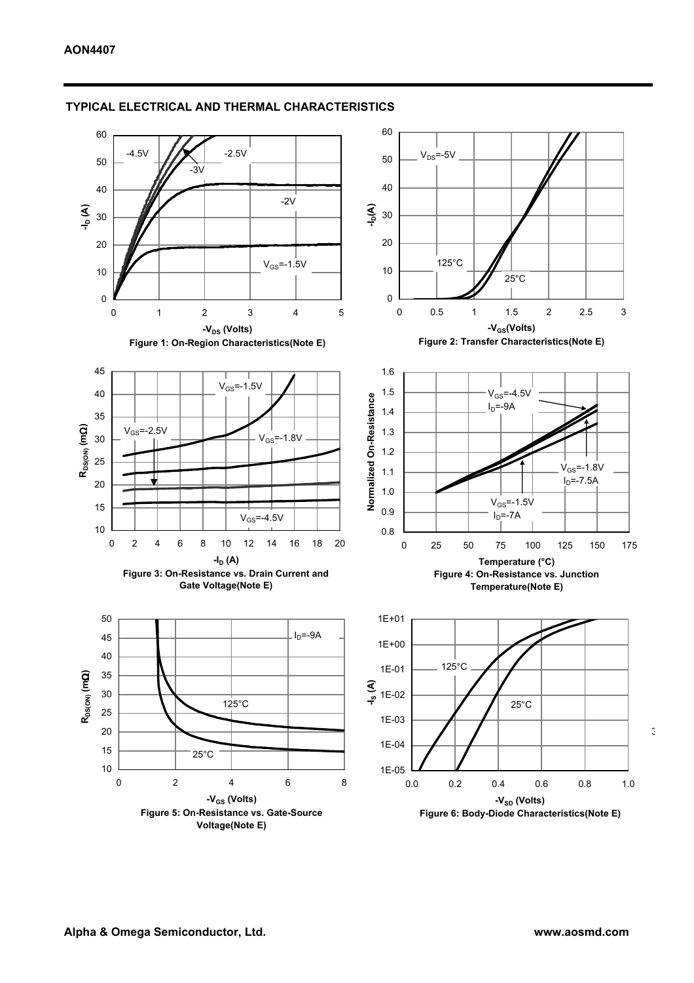

### TYPICAL ELECTRICAL AND THERMAL CHARACTERISTICS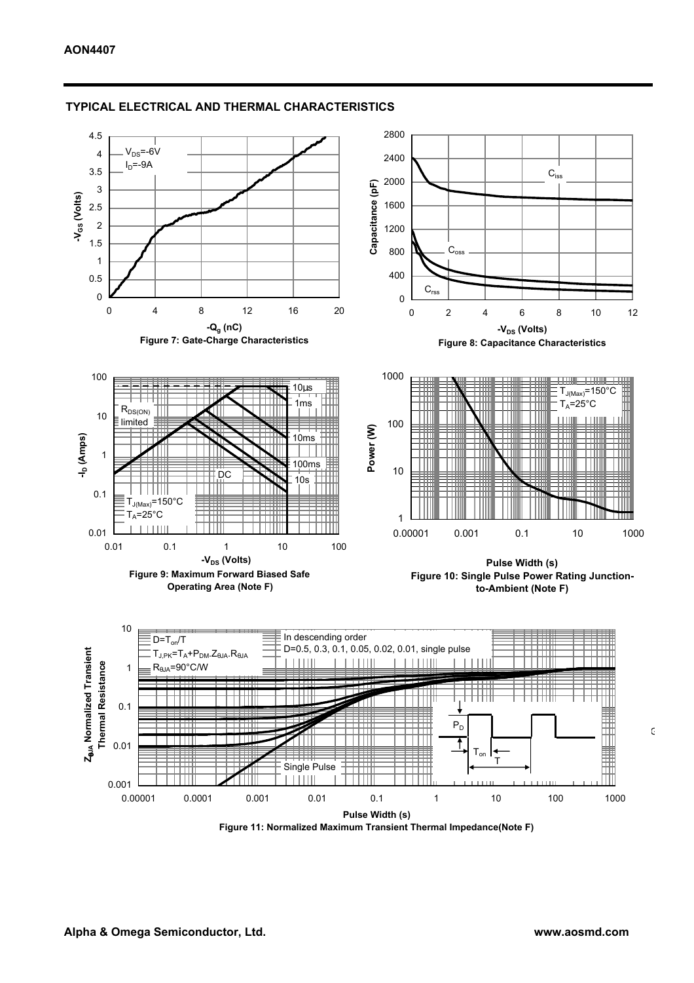

### TYPICAL ELECTRICAL AND THERMAL CHARACTERISTICS